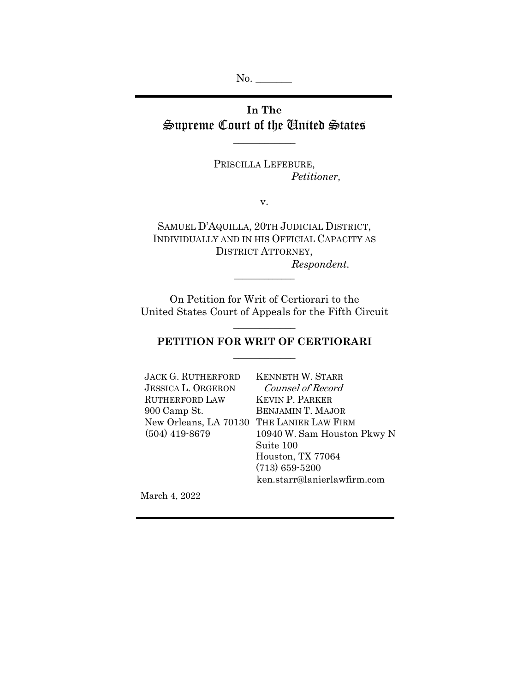No. \_\_\_\_\_\_\_

# **In The**  Supreme Court of the United States

 $\overline{\phantom{a}}$  , where  $\overline{\phantom{a}}$ 

PRISCILLA LEFEBURE, *Petitioner,* 

v.

SAMUEL D'AQUILLA, 20TH JUDICIAL DISTRICT, INDIVIDUALLY AND IN HIS OFFICIAL CAPACITY AS DISTRICT ATTORNEY, *Respondent.* 

On Petition for Writ of Certiorari to the United States Court of Appeals for the Fifth Circuit

 $\overline{\phantom{a}}$  , we can also the contract of  $\overline{\phantom{a}}$ 

# **PETITION FOR WRIT OF CERTIORARI**   $\overline{\phantom{a}}$  , we can also the contract of  $\overline{\phantom{a}}$

 $\overline{\phantom{a}}$  , where  $\overline{\phantom{a}}$ 

| <b>JACK G. RUTHERFORD</b> | <b>KENNETH W. STARR</b>     |
|---------------------------|-----------------------------|
| <b>JESSICA L. ORGERON</b> | Counsel of Record           |
| <b>RUTHERFORD LAW</b>     | <b>KEVIN P. PARKER</b>      |
| 900 Camp St.              | <b>BENJAMIN T. MAJOR</b>    |
| New Orleans, LA 70130     | THE LANIER LAW FIRM         |
| $(504)$ 419-8679          | 10940 W. Sam Houston Pkwy N |
|                           | Suite 100                   |
|                           | Houston, TX 77064           |
|                           | $(713) 659 - 5200$          |
|                           | ken.starr@lanierlawfirm.com |

March 4, 2022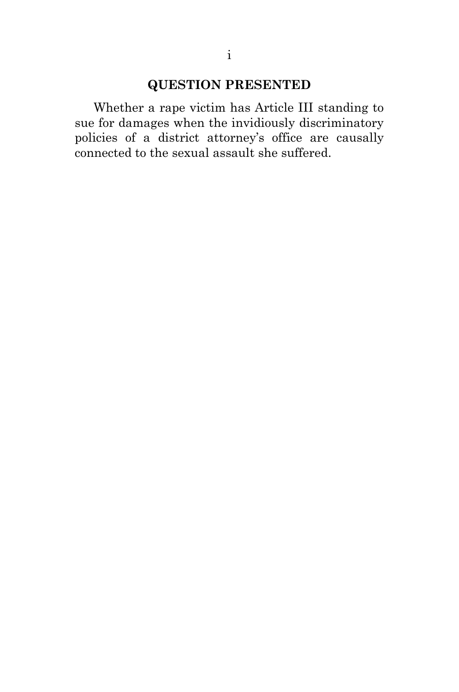# **QUESTION PRESENTED**

Whether a rape victim has Article III standing to sue for damages when the invidiously discriminatory policies of a district attorney's office are causally connected to the sexual assault she suffered.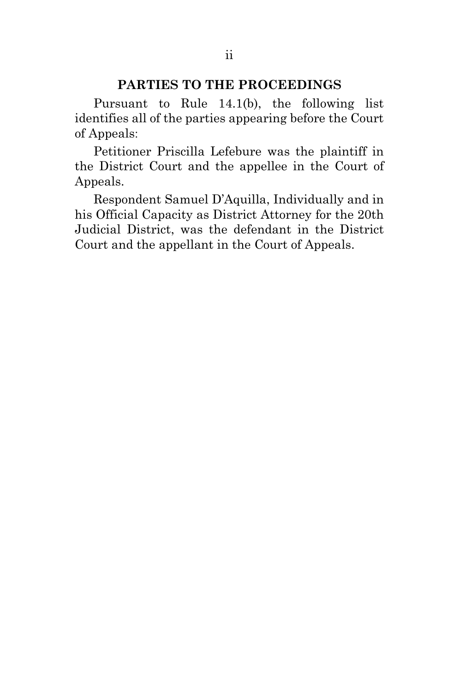## **PARTIES TO THE PROCEEDINGS**

Pursuant to Rule 14.1(b), the following list identifies all of the parties appearing before the Court of Appeals:

Petitioner Priscilla Lefebure was the plaintiff in the District Court and the appellee in the Court of Appeals.

Respondent Samuel D'Aquilla, Individually and in his Official Capacity as District Attorney for the 20th Judicial District, was the defendant in the District Court and the appellant in the Court of Appeals.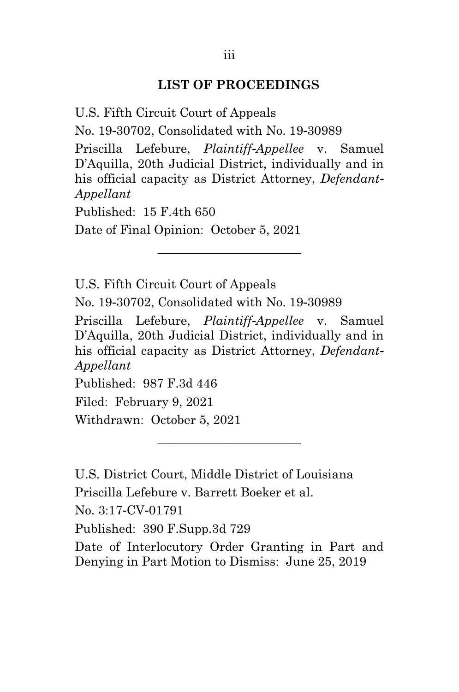#### **LIST OF PROCEEDINGS**

U.S. Fifth Circuit Court of Appeals

No. 19-30702, Consolidated with No. 19-30989

Priscilla Lefebure, *Plaintiff-Appellee* v. Samuel D'Aquilla, 20th Judicial District, individually and in his official capacity as District Attorney, *Defendant-Appellant*

\_\_\_\_\_\_\_\_\_\_\_\_\_\_\_\_\_\_\_\_\_\_\_

Published:  $15$  F 4th 650

Date of Final Opinion: October 5, 2021

U.S. Fifth Circuit Court of Appeals

No. 19-30702, Consolidated with No. 19-30989

Priscilla Lefebure, *Plaintiff-Appellee* v. Samuel D'Aquilla, 20th Judicial District, individually and in his official capacity as District Attorney, *Defendant-Appellant*

\_\_\_\_\_\_\_\_\_\_\_\_\_\_\_\_\_\_\_\_\_\_\_

Published: 987 F.3d 446

Filed: February 9, 2021

Withdrawn: October 5, 2021

U.S. District Court, Middle District of Louisiana Priscilla Lefebure v. Barrett Boeker et al. No. 3:17-CV-01791 Published: 390 F.Supp.3d 729

Date of Interlocutory Order Granting in Part and Denying in Part Motion to Dismiss: June 25, 2019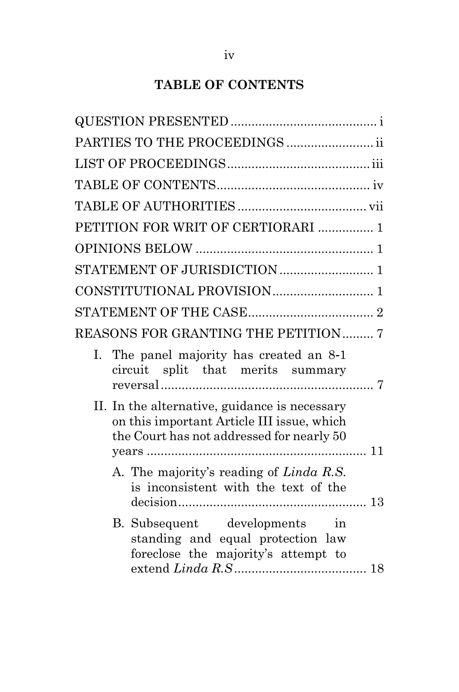# **TABLE OF CONTENTS**

| PARTIES TO THE PROCEEDINGS  ii                                                                                                           |  |
|------------------------------------------------------------------------------------------------------------------------------------------|--|
|                                                                                                                                          |  |
|                                                                                                                                          |  |
|                                                                                                                                          |  |
| PETITION FOR WRIT OF CERTIORARI  1                                                                                                       |  |
|                                                                                                                                          |  |
|                                                                                                                                          |  |
|                                                                                                                                          |  |
|                                                                                                                                          |  |
| <b>REASONS FOR GRANTING THE PETITION 7</b>                                                                                               |  |
| The panel majority has created an 8-1<br>L.<br>circuit split that merits summary                                                         |  |
| II. In the alternative, guidance is necessary<br>on this important Article III issue, which<br>the Court has not addressed for nearly 50 |  |
| A. The majority's reading of Linda R.S.<br>is inconsistent with the text of the                                                          |  |
| B. Subsequent developments in<br>standing and equal protection law<br>foreclose the majority's attempt to                                |  |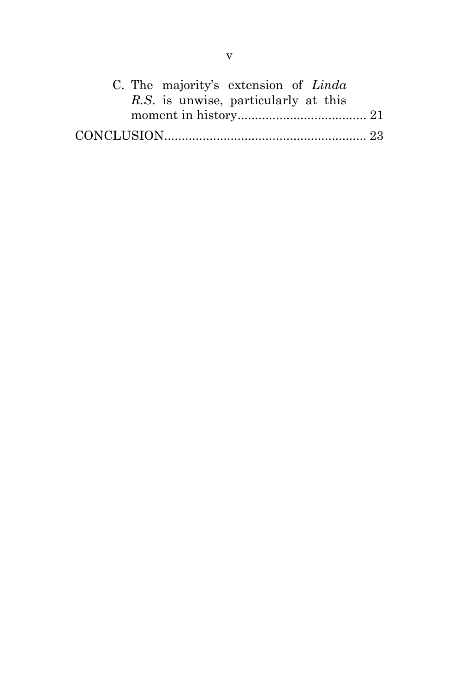|  | C. The majority's extension of Linda |  |  |
|--|--------------------------------------|--|--|
|  | R.S. is unwise, particularly at this |  |  |
|  |                                      |  |  |
|  |                                      |  |  |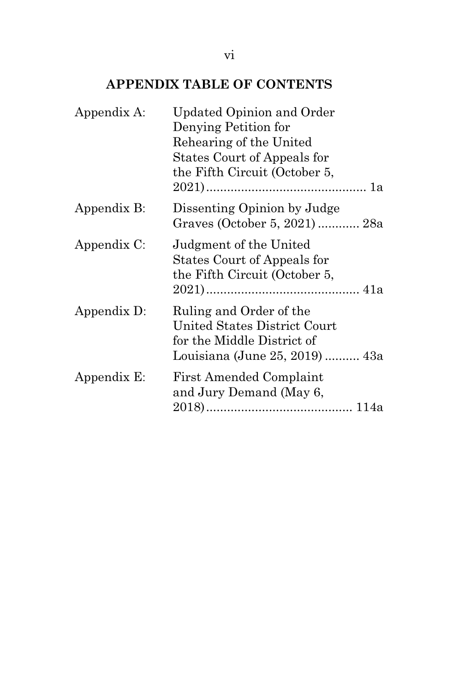# **APPENDIX TABLE OF CONTENTS**

| Appendix A: | <b>Updated Opinion and Order</b><br>Denying Petition for<br>Rehearing of the United<br>States Court of Appeals for<br>the Fifth Circuit (October 5, |
|-------------|-----------------------------------------------------------------------------------------------------------------------------------------------------|
| Appendix B: | Dissenting Opinion by Judge<br>Graves (October 5, 2021) 28a                                                                                         |
| Appendix C: | Judgment of the United<br>States Court of Appeals for<br>the Fifth Circuit (October 5,                                                              |
| Appendix D: | Ruling and Order of the<br>United States District Court<br>for the Middle District of<br>Louisiana (June 25, 2019)  43a                             |
| Appendix E: | <b>First Amended Complaint</b><br>and Jury Demand (May 6,                                                                                           |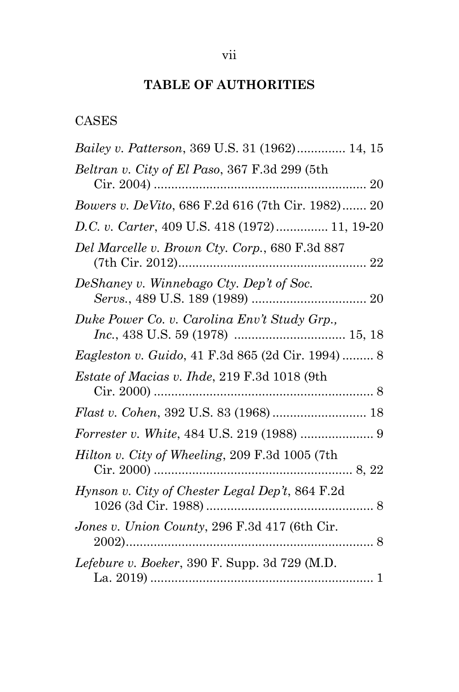# **TABLE OF AUTHORITIES**

# CASES

| Bailey v. Patterson, 369 U.S. 31 (1962) 14, 15           |  |
|----------------------------------------------------------|--|
| Beltran v. City of El Paso, 367 F.3d 299 (5th            |  |
| Bowers v. DeVito, 686 F.2d 616 (7th Cir. 1982) 20        |  |
| D.C. v. Carter, 409 U.S. 418 (1972) 11, 19-20            |  |
| Del Marcelle v. Brown Cty. Corp., 680 F.3d 887           |  |
| DeShaney v. Winnebago Cty. Dep't of Soc.                 |  |
| Duke Power Co. v. Carolina Env't Study Grp.,             |  |
| <i>Eagleston v. Guido, 41 F.3d 865 (2d Cir. 1994) </i> 8 |  |
| Estate of Macias v. Ihde, 219 F.3d 1018 (9th             |  |
|                                                          |  |
| <i>Forrester v. White, 484 U.S. 219 (1988) </i> 9        |  |
| <i>Hilton v. City of Wheeling, 209 F.3d 1005 (7th</i> )  |  |
| Hynson v. City of Chester Legal Dep't, 864 F.2d          |  |
| Jones v. Union County, 296 F.3d 417 (6th Cir.            |  |
| Lefebure v. Boeker, 390 F. Supp. 3d 729 (M.D.            |  |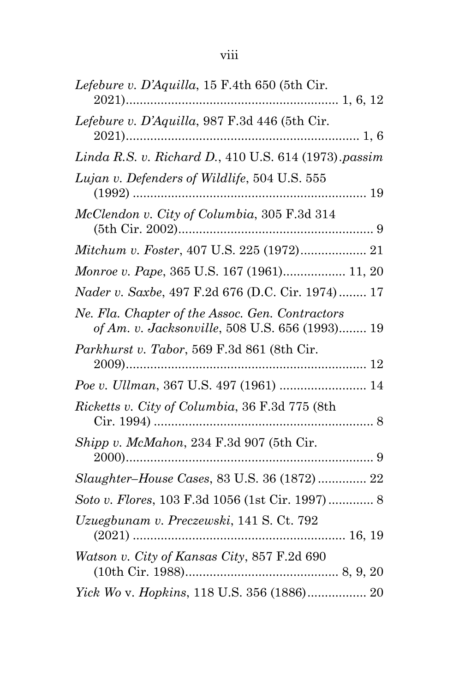| Lefebure v. D'Aquilla, 15 F.4th 650 (5th Cir.                                                     |
|---------------------------------------------------------------------------------------------------|
| Lefebure v. D'Aquilla, 987 F.3d 446 (5th Cir.                                                     |
| Linda R.S. v. Richard D., 410 U.S. 614 (1973).passim                                              |
| Lujan v. Defenders of Wildlife, 504 U.S. 555<br>$(1992)$                                          |
| McClendon v. City of Columbia, 305 F.3d 314                                                       |
|                                                                                                   |
| Monroe v. Pape, 365 U.S. 167 (1961) 11, 20                                                        |
| Nader v. Saxbe, 497 F.2d 676 (D.C. Cir. 1974) 17                                                  |
| Ne. Fla. Chapter of the Assoc. Gen. Contractors<br>of Am. v. Jacksonville, 508 U.S. 656 (1993) 19 |
| Parkhurst v. Tabor, 569 F.3d 861 (8th Cir.                                                        |
|                                                                                                   |
| Ricketts v. City of Columbia, 36 F.3d 775 (8th                                                    |
| Shipp v. McMahon, 234 F.3d 907 (5th Cir.                                                          |
| Slaughter-House Cases, 83 U.S. 36 (1872) 22                                                       |
|                                                                                                   |
| Uzuegbunam v. Preczewski, 141 S. Ct. 792                                                          |
| Watson v. City of Kansas City, 857 F.2d 690                                                       |
| Yick Wo v. Hopkins, 118 U.S. 356 (1886) 20                                                        |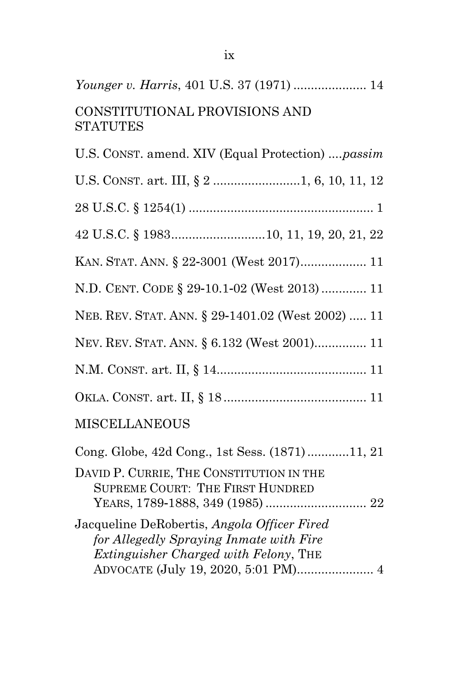# *Younger v. Harris*, 401 U.S. 37 (1971) ..................... 14 CONSTITUTIONAL PROVISIONS AND **STATUTES**

| U.S. CONST. amend. XIV (Equal Protection)  passim                                   |
|-------------------------------------------------------------------------------------|
|                                                                                     |
|                                                                                     |
| 42 U.S.C. § 198310, 11, 19, 20, 21, 22                                              |
| KAN. STAT. ANN. § 22-3001 (West 2017) 11                                            |
| N.D. CENT. CODE § 29-10.1-02 (West 2013) 11                                         |
| NEB. REV. STAT. ANN. § 29-1401.02 (West 2002)  11                                   |
| NEV. REV. STAT. ANN. § 6.132 (West 2001) 11                                         |
|                                                                                     |
|                                                                                     |
| <b>MISCELLANEOUS</b>                                                                |
| Cong. Globe, 42d Cong., 1st Sess. (1871)11, 21                                      |
| DAVID P. CURRIE, THE CONSTITUTION IN THE<br><b>SUPREME COURT: THE FIRST HUNDRED</b> |
| Jacqueline DeRobertis, Angola Officer Fired                                         |
| for Allegedly Spraying Inmate with Fire<br>Extinguisher Charged with Felony, THE    |
| ADVOCATE (July 19, 2020, 5:01 PM) 4                                                 |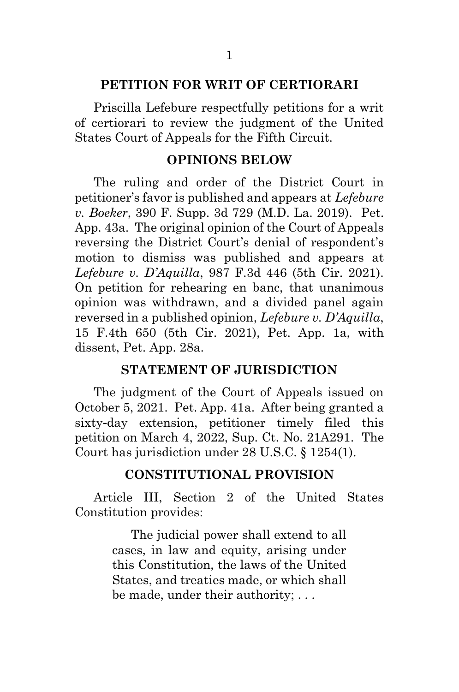#### **PETITION FOR WRIT OF CERTIORARI**

Priscilla Lefebure respectfully petitions for a writ of certiorari to review the judgment of the United States Court of Appeals for the Fifth Circuit.

#### **OPINIONS BELOW**

The ruling and order of the District Court in petitioner's favor is published and appears at *Lefebure v. Boeker*, 390 F. Supp. 3d 729 (M.D. La. 2019). Pet. App. 43a. The original opinion of the Court of Appeals reversing the District Court's denial of respondent's motion to dismiss was published and appears at *Lefebure v. D'Aquilla*, 987 F.3d 446 (5th Cir. 2021). On petition for rehearing en banc, that unanimous opinion was withdrawn, and a divided panel again reversed in a published opinion, *Lefebure v. D'Aquilla*, 15 F.4th 650 (5th Cir. 2021), Pet. App. 1a, with dissent, Pet. App. 28a.

#### **STATEMENT OF JURISDICTION**

The judgment of the Court of Appeals issued on October 5, 2021. Pet. App. 41a. After being granted a sixty-day extension, petitioner timely filed this petition on March 4, 2022, Sup. Ct. No. 21A291. The Court has jurisdiction under 28 U.S.C. § 1254(1).

#### **CONSTITUTIONAL PROVISION**

Article III, Section 2 of the United States Constitution provides:

> The judicial power shall extend to all cases, in law and equity, arising under this Constitution, the laws of the United States, and treaties made, or which shall be made, under their authority; . . .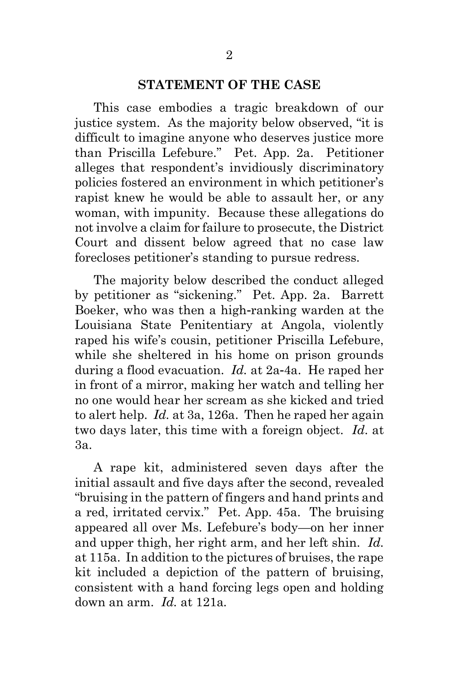#### **STATEMENT OF THE CASE**

This case embodies a tragic breakdown of our justice system. As the majority below observed, "it is difficult to imagine anyone who deserves justice more than Priscilla Lefebure." Pet. App. 2a. Petitioner alleges that respondent's invidiously discriminatory policies fostered an environment in which petitioner's rapist knew he would be able to assault her, or any woman, with impunity. Because these allegations do not involve a claim for failure to prosecute, the District Court and dissent below agreed that no case law forecloses petitioner's standing to pursue redress.

The majority below described the conduct alleged by petitioner as "sickening." Pet. App. 2a. Barrett Boeker, who was then a high-ranking warden at the Louisiana State Penitentiary at Angola, violently raped his wife's cousin, petitioner Priscilla Lefebure, while she sheltered in his home on prison grounds during a flood evacuation. *Id.* at 2a-4a. He raped her in front of a mirror, making her watch and telling her no one would hear her scream as she kicked and tried to alert help. *Id.* at 3a, 126a. Then he raped her again two days later, this time with a foreign object. *Id*. at 3a.

A rape kit, administered seven days after the initial assault and five days after the second, revealed "bruising in the pattern of fingers and hand prints and a red, irritated cervix." Pet. App. 45a. The bruising appeared all over Ms. Lefebure's body—on her inner and upper thigh, her right arm, and her left shin. *Id.* at 115a. In addition to the pictures of bruises, the rape kit included a depiction of the pattern of bruising, consistent with a hand forcing legs open and holding down an arm. *Id.* at 121a*.*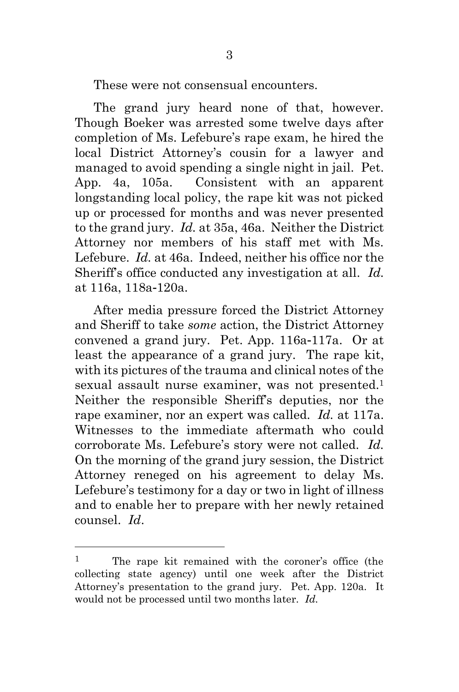These were not consensual encounters.

The grand jury heard none of that, however. Though Boeker was arrested some twelve days after completion of Ms. Lefebure's rape exam, he hired the local District Attorney's cousin for a lawyer and managed to avoid spending a single night in jail. Pet. App. 4a, 105a. Consistent with an apparent longstanding local policy, the rape kit was not picked up or processed for months and was never presented to the grand jury. *Id.* at 35a, 46a. Neither the District Attorney nor members of his staff met with Ms. Lefebure. *Id.* at 46a. Indeed, neither his office nor the Sheriff's office conducted any investigation at all. *Id.* at 116a, 118a-120a.

After media pressure forced the District Attorney and Sheriff to take *some* action, the District Attorney convened a grand jury. Pet. App. 116a-117a. Or at least the appearance of a grand jury. The rape kit, with its pictures of the trauma and clinical notes of the sexual assault nurse examiner, was not presented. 1 Neither the responsible Sheriff's deputies, nor the rape examiner, nor an expert was called. *Id.* at 117a. Witnesses to the immediate aftermath who could corroborate Ms. Lefebure's story were not called. *Id.*  On the morning of the grand jury session, the District Attorney reneged on his agreement to delay Ms. Lefebure's testimony for a day or two in light of illness and to enable her to prepare with her newly retained counsel. *Id*.

<sup>1</sup> The rape kit remained with the coroner's office (the collecting state agency) until one week after the District Attorney's presentation to the grand jury. Pet. App. 120a. It would not be processed until two months later. *Id.*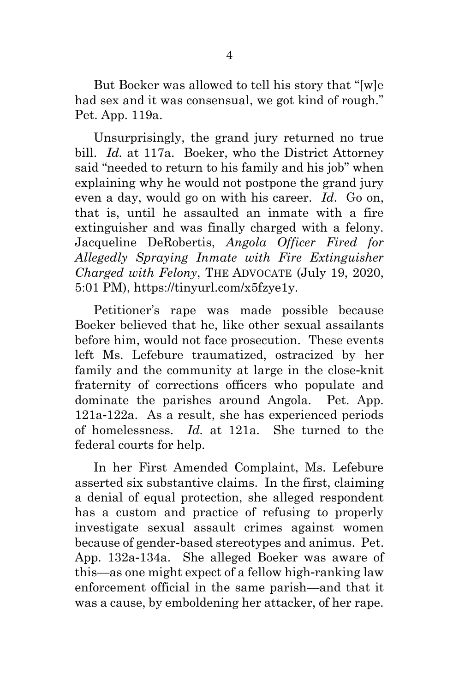But Boeker was allowed to tell his story that "[w]e had sex and it was consensual, we got kind of rough." Pet. App. 119a.

Unsurprisingly, the grand jury returned no true bill. *Id.* at 117a. Boeker, who the District Attorney said "needed to return to his family and his job" when explaining why he would not postpone the grand jury even a day, would go on with his career. *Id*. Go on, that is, until he assaulted an inmate with a fire extinguisher and was finally charged with a felony. Jacqueline DeRobertis, *Angola Officer Fired for Allegedly Spraying Inmate with Fire Extinguisher Charged with Felony*, THE ADVOCATE (July 19, 2020, 5:01 PM), https://tinyurl.com/x5fzye1y.

Petitioner's rape was made possible because Boeker believed that he, like other sexual assailants before him, would not face prosecution. These events left Ms. Lefebure traumatized, ostracized by her family and the community at large in the close-knit fraternity of corrections officers who populate and dominate the parishes around Angola. Pet. App. 121a-122a. As a result, she has experienced periods of homelessness. *Id.* at 121a. She turned to the federal courts for help.

In her First Amended Complaint, Ms. Lefebure asserted six substantive claims. In the first, claiming a denial of equal protection, she alleged respondent has a custom and practice of refusing to properly investigate sexual assault crimes against women because of gender-based stereotypes and animus. Pet. App. 132a-134a. She alleged Boeker was aware of this—as one might expect of a fellow high-ranking law enforcement official in the same parish—and that it was a cause, by emboldening her attacker, of her rape.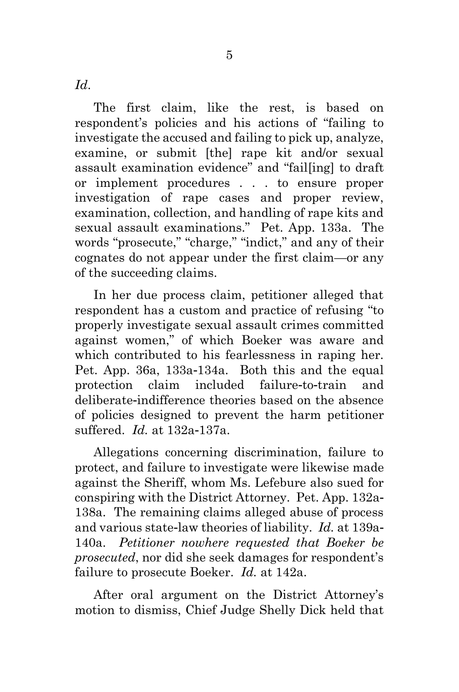*Id*.

The first claim, like the rest, is based on respondent's policies and his actions of "failing to investigate the accused and failing to pick up, analyze, examine, or submit [the] rape kit and/or sexual assault examination evidence" and "fail[ing] to draft or implement procedures . . . to ensure proper investigation of rape cases and proper review, examination, collection, and handling of rape kits and sexual assault examinations." Pet. App. 133a. The words "prosecute," "charge," "indict," and any of their cognates do not appear under the first claim—or any of the succeeding claims.

In her due process claim, petitioner alleged that respondent has a custom and practice of refusing "to properly investigate sexual assault crimes committed against women," of which Boeker was aware and which contributed to his fearlessness in raping her. Pet. App. 36a, 133a-134a. Both this and the equal protection claim included failure-to-train and deliberate-indifference theories based on the absence of policies designed to prevent the harm petitioner suffered. *Id.* at 132a-137a.

Allegations concerning discrimination, failure to protect, and failure to investigate were likewise made against the Sheriff, whom Ms. Lefebure also sued for conspiring with the District Attorney. Pet. App. 132a-138a. The remaining claims alleged abuse of process and various state-law theories of liability. *Id.* at 139a-140a. *Petitioner nowhere requested that Boeker be prosecuted*, nor did she seek damages for respondent's failure to prosecute Boeker. *Id.* at 142a.

After oral argument on the District Attorney's motion to dismiss, Chief Judge Shelly Dick held that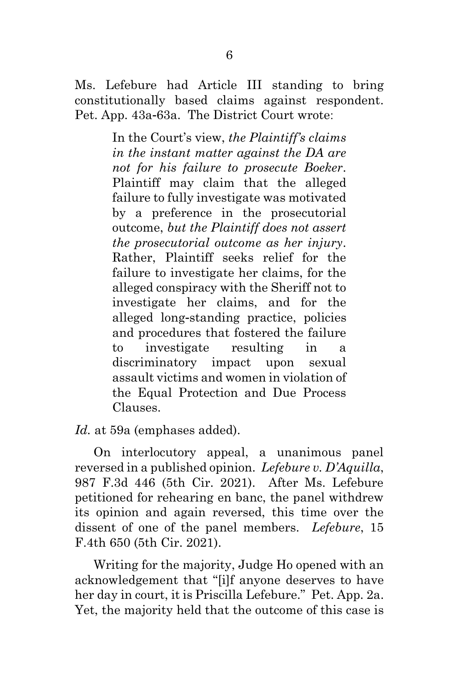Ms. Lefebure had Article III standing to bring constitutionally based claims against respondent. Pet. App. 43a-63a. The District Court wrote:

> In the Court's view, *the Plaintiff's claims in the instant matter against the DA are not for his failure to prosecute Boeker*. Plaintiff may claim that the alleged failure to fully investigate was motivated by a preference in the prosecutorial outcome, *but the Plaintiff does not assert the prosecutorial outcome as her injury*. Rather, Plaintiff seeks relief for the failure to investigate her claims, for the alleged conspiracy with the Sheriff not to investigate her claims, and for the alleged long-standing practice, policies and procedures that fostered the failure to investigate resulting in a discriminatory impact upon sexual assault victims and women in violation of the Equal Protection and Due Process Clauses.

*Id.* at 59a (emphases added).

On interlocutory appeal, a unanimous panel reversed in a published opinion. *Lefebure v. D'Aquilla*, 987 F.3d 446 (5th Cir. 2021). After Ms. Lefebure petitioned for rehearing en banc, the panel withdrew its opinion and again reversed, this time over the dissent of one of the panel members. *Lefebure*, 15 F.4th 650 (5th Cir. 2021).

Writing for the majority, Judge Ho opened with an acknowledgement that "[i]f anyone deserves to have her day in court, it is Priscilla Lefebure." Pet. App. 2a. Yet, the majority held that the outcome of this case is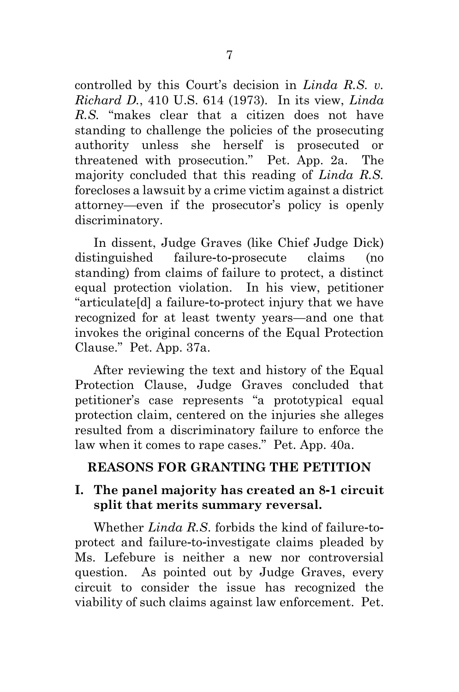controlled by this Court's decision in *Linda R.S. v. Richard D.*, 410 U.S. 614 (1973)*.* In its view, *Linda R.S.* "makes clear that a citizen does not have standing to challenge the policies of the prosecuting authority unless she herself is prosecuted or threatened with prosecution." Pet. App. 2a. The majority concluded that this reading of *Linda R.S.*  forecloses a lawsuit by a crime victim against a district attorney—even if the prosecutor's policy is openly discriminatory.

In dissent, Judge Graves (like Chief Judge Dick) distinguished failure-to-prosecute claims (no standing) from claims of failure to protect, a distinct equal protection violation. In his view, petitioner "articulate[d] a failure-to-protect injury that we have recognized for at least twenty years—and one that invokes the original concerns of the Equal Protection Clause." Pet. App. 37a.

After reviewing the text and history of the Equal Protection Clause, Judge Graves concluded that petitioner's case represents "a prototypical equal protection claim, centered on the injuries she alleges resulted from a discriminatory failure to enforce the law when it comes to rape cases." Pet. App. 40a.

# **REASONS FOR GRANTING THE PETITION**

## **I. The panel majority has created an 8-1 circuit split that merits summary reversal.**

Whether *Linda R.S*. forbids the kind of failure-toprotect and failure-to-investigate claims pleaded by Ms. Lefebure is neither a new nor controversial question. As pointed out by Judge Graves, every circuit to consider the issue has recognized the viability of such claims against law enforcement. Pet.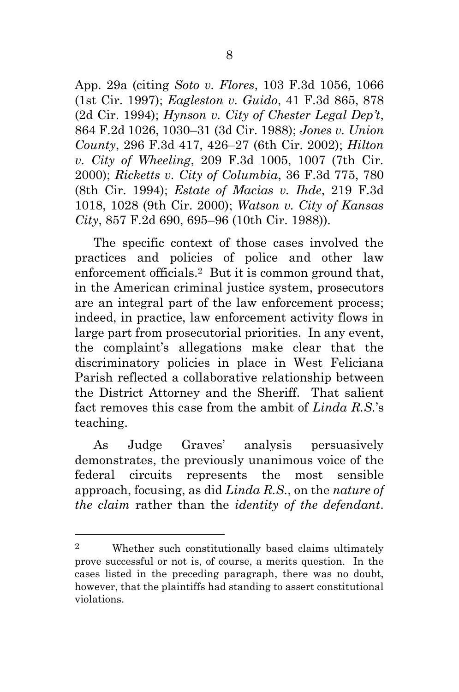App. 29a (citing *Soto v. Flores*, 103 F.3d 1056, 1066 (1st Cir. 1997); *Eagleston v. Guido*, 41 F.3d 865, 878 (2d Cir. 1994); *Hynson v. City of Chester Legal Dep't*, 864 F.2d 1026, 1030–31 (3d Cir. 1988); *Jones v. Union County*, 296 F.3d 417, 426–27 (6th Cir. 2002); *Hilton v. City of Wheeling*, 209 F.3d 1005, 1007 (7th Cir. 2000); *Ricketts v. City of Columbia*, 36 F.3d 775, 780 (8th Cir. 1994); *Estate of Macias v. Ihde*, 219 F.3d 1018, 1028 (9th Cir. 2000); *Watson v. City of Kansas City*, 857 F.2d 690, 695–96 (10th Cir. 1988)).

The specific context of those cases involved the practices and policies of police and other law enforcement officials.2 But it is common ground that, in the American criminal justice system, prosecutors are an integral part of the law enforcement process; indeed, in practice, law enforcement activity flows in large part from prosecutorial priorities. In any event, the complaint's allegations make clear that the discriminatory policies in place in West Feliciana Parish reflected a collaborative relationship between the District Attorney and the Sheriff. That salient fact removes this case from the ambit of *Linda R.S.*'s teaching.

As Judge Graves' analysis persuasively demonstrates, the previously unanimous voice of the federal circuits represents the most sensible approach, focusing, as did *Linda R.S.*, on the *nature of the claim* rather than the *identity of the defendant*.

<sup>2</sup> Whether such constitutionally based claims ultimately prove successful or not is, of course, a merits question. In the cases listed in the preceding paragraph, there was no doubt, however, that the plaintiffs had standing to assert constitutional violations.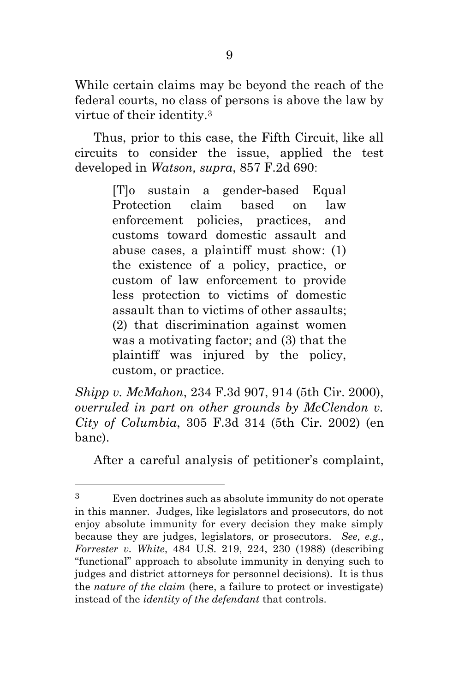While certain claims may be beyond the reach of the federal courts, no class of persons is above the law by virtue of their identity. 3

Thus, prior to this case, the Fifth Circuit, like all circuits to consider the issue, applied the test developed in *Watson, supra*, 857 F.2d 690:

> [T]o sustain a gender-based Equal Protection claim based on law enforcement policies, practices, and customs toward domestic assault and abuse cases, a plaintiff must show: (1) the existence of a policy, practice, or custom of law enforcement to provide less protection to victims of domestic assault than to victims of other assaults; (2) that discrimination against women was a motivating factor; and (3) that the plaintiff was injured by the policy, custom, or practice.

*Shipp v. McMahon*, 234 F.3d 907, 914 (5th Cir. 2000), *overruled in part on other grounds by McClendon v. City of Columbia*, 305 F.3d 314 (5th Cir. 2002) (en banc).

After a careful analysis of petitioner's complaint,

<sup>3</sup> Even doctrines such as absolute immunity do not operate in this manner. Judges, like legislators and prosecutors, do not enjoy absolute immunity for every decision they make simply because they are judges, legislators, or prosecutors. *See, e.g.*, *Forrester v. White*, 484 U.S. 219, 224, 230 (1988) (describing "functional" approach to absolute immunity in denying such to judges and district attorneys for personnel decisions). It is thus the *nature of the claim* (here, a failure to protect or investigate) instead of the *identity of the defendant* that controls.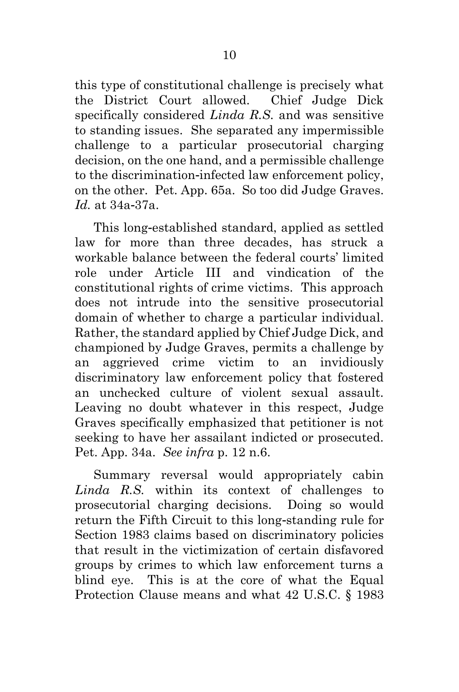this type of constitutional challenge is precisely what the District Court allowed. Chief Judge Dick specifically considered *Linda R.S.* and was sensitive to standing issues. She separated any impermissible challenge to a particular prosecutorial charging decision, on the one hand, and a permissible challenge to the discrimination-infected law enforcement policy, on the other. Pet. App. 65a. So too did Judge Graves. *Id.* at 34a-37a.

This long-established standard, applied as settled law for more than three decades, has struck a workable balance between the federal courts' limited role under Article III and vindication of the constitutional rights of crime victims. This approach does not intrude into the sensitive prosecutorial domain of whether to charge a particular individual. Rather, the standard applied by Chief Judge Dick, and championed by Judge Graves, permits a challenge by an aggrieved crime victim to an invidiously discriminatory law enforcement policy that fostered an unchecked culture of violent sexual assault. Leaving no doubt whatever in this respect, Judge Graves specifically emphasized that petitioner is not seeking to have her assailant indicted or prosecuted. Pet. App. 34a. *See infra* p. 12 n.6.

Summary reversal would appropriately cabin *Linda R.S.* within its context of challenges to prosecutorial charging decisions. Doing so would return the Fifth Circuit to this long-standing rule for Section 1983 claims based on discriminatory policies that result in the victimization of certain disfavored groups by crimes to which law enforcement turns a blind eye. This is at the core of what the Equal Protection Clause means and what 42 U.S.C. § 1983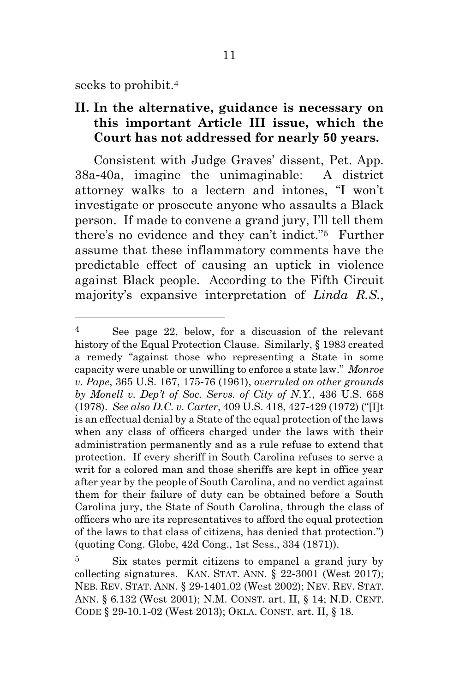seeks to prohibit. 4

## **II. In the alternative, guidance is necessary on this important Article III issue, which the Court has not addressed for nearly 50 years.**

Consistent with Judge Graves' dissent, Pet. App. 38a-40a, imagine the unimaginable: A district attorney walks to a lectern and intones, "I won't investigate or prosecute anyone who assaults a Black person. If made to convene a grand jury, I'll tell them there's no evidence and they can't indict."5 Further assume that these inflammatory comments have the predictable effect of causing an uptick in violence against Black people. According to the Fifth Circuit majority's expansive interpretation of *Linda R.S.*,

<sup>4</sup> See page 22, below, for a discussion of the relevant history of the Equal Protection Clause. Similarly, § 1983 created a remedy "against those who representing a State in some capacity were unable or unwilling to enforce a state law." *Monroe v. Pape*, 365 U.S. 167, 175-76 (1961), *overruled on other grounds by Monell v. Dep't of Soc. Servs. of City of N.Y.*, 436 U.S. 658 (1978). *See also D.C. v. Carter*, 409 U.S. 418, 427-429 (1972) ("[I]t is an effectual denial by a State of the equal protection of the laws when any class of officers charged under the laws with their administration permanently and as a rule refuse to extend that protection. If every sheriff in South Carolina refuses to serve a writ for a colored man and those sheriffs are kept in office year after year by the people of South Carolina, and no verdict against them for their failure of duty can be obtained before a South Carolina jury, the State of South Carolina, through the class of officers who are its representatives to afford the equal protection of the laws to that class of citizens, has denied that protection.") (quoting Cong. Globe, 42d Cong., 1st Sess., 334 (1871)).

<sup>5</sup> Six states permit citizens to empanel a grand jury by collecting signatures. KAN. STAT. ANN. § 22-3001 (West 2017); NEB. REV. STAT. ANN. § 29-1401.02 (West 2002); NEV. REV. STAT. ANN. § 6.132 (West 2001); N.M. CONST. art. II, § 14; N.D. CENT. CODE § 29-10.1-02 (West 2013); OKLA. CONST. art. II, § 18.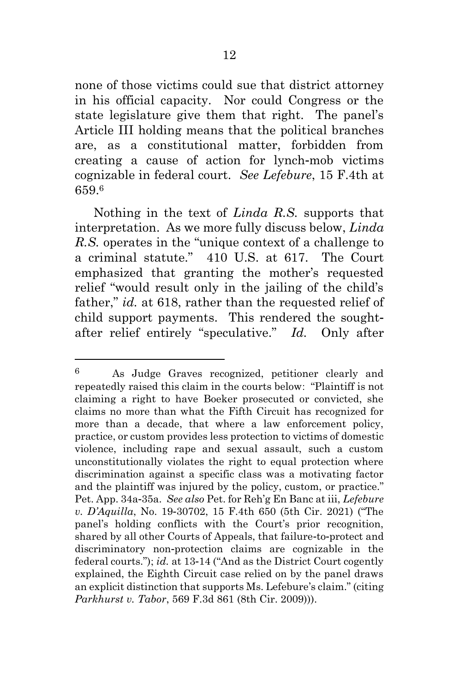none of those victims could sue that district attorney in his official capacity. Nor could Congress or the state legislature give them that right. The panel's Article III holding means that the political branches are, as a constitutional matter, forbidden from creating a cause of action for lynch-mob victims cognizable in federal court. *See Lefebure*, 15 F.4th at 659.<sup>6</sup>

Nothing in the text of *Linda R.S.* supports that interpretation. As we more fully discuss below, *Linda R.S.* operates in the "unique context of a challenge to a criminal statute." 410 U.S. at 617. The Court emphasized that granting the mother's requested relief "would result only in the jailing of the child's father," *id.* at 618, rather than the requested relief of child support payments. This rendered the soughtafter relief entirely "speculative." *Id.* Only after

<sup>6</sup> As Judge Graves recognized, petitioner clearly and repeatedly raised this claim in the courts below: "Plaintiff is not claiming a right to have Boeker prosecuted or convicted, she claims no more than what the Fifth Circuit has recognized for more than a decade, that where a law enforcement policy, practice, or custom provides less protection to victims of domestic violence, including rape and sexual assault, such a custom unconstitutionally violates the right to equal protection where discrimination against a specific class was a motivating factor and the plaintiff was injured by the policy, custom, or practice." Pet. App. 34a-35a. *See also* Pet. for Reh'g En Banc at iii, *Lefebure v. D'Aquilla*, No. 19-30702, 15 F.4th 650 (5th Cir. 2021) ("The panel's holding conflicts with the Court's prior recognition, shared by all other Courts of Appeals, that failure-to-protect and discriminatory non-protection claims are cognizable in the federal courts."); *id.* at 13-14 ("And as the District Court cogently explained, the Eighth Circuit case relied on by the panel draws an explicit distinction that supports Ms. Lefebure's claim." (citing *Parkhurst v. Tabor*, 569 F.3d 861 (8th Cir. 2009))).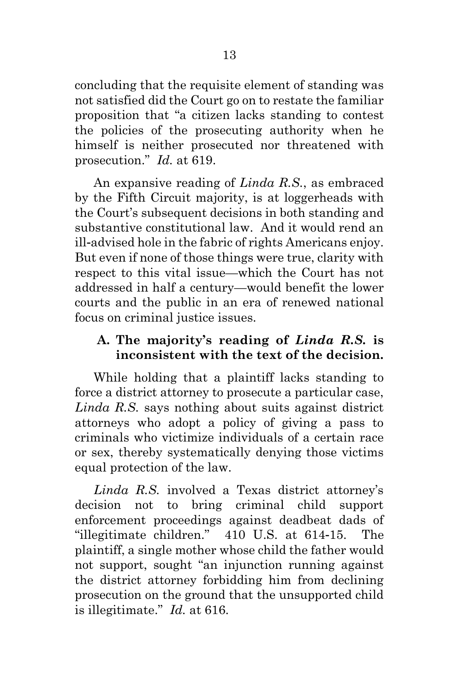concluding that the requisite element of standing was not satisfied did the Court go on to restate the familiar proposition that "a citizen lacks standing to contest the policies of the prosecuting authority when he himself is neither prosecuted nor threatened with prosecution." *Id.* at 619.

An expansive reading of *Linda R.S.*, as embraced by the Fifth Circuit majority, is at loggerheads with the Court's subsequent decisions in both standing and substantive constitutional law. And it would rend an ill-advised hole in the fabric of rights Americans enjoy. But even if none of those things were true, clarity with respect to this vital issue—which the Court has not addressed in half a century—would benefit the lower courts and the public in an era of renewed national focus on criminal justice issues.

## **A. The majority's reading of** *Linda R.S.* **is inconsistent with the text of the decision.**

While holding that a plaintiff lacks standing to force a district attorney to prosecute a particular case, *Linda R.S.* says nothing about suits against district attorneys who adopt a policy of giving a pass to criminals who victimize individuals of a certain race or sex, thereby systematically denying those victims equal protection of the law.

*Linda R.S.* involved a Texas district attorney's decision not to bring criminal child support enforcement proceedings against deadbeat dads of "illegitimate children." 410 U.S. at 614-15. The plaintiff, a single mother whose child the father would not support, sought "an injunction running against the district attorney forbidding him from declining prosecution on the ground that the unsupported child is illegitimate." *Id.* at 616.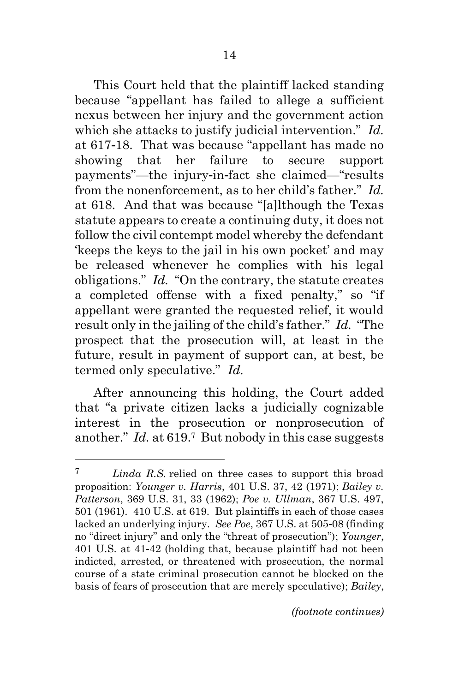This Court held that the plaintiff lacked standing because "appellant has failed to allege a sufficient nexus between her injury and the government action which she attacks to justify judicial intervention." *Id.* at 617-18. That was because "appellant has made no showing that her failure to secure support payments"—the injury-in-fact she claimed—"results from the nonenforcement, as to her child's father." *Id.* at 618. And that was because "[a]lthough the Texas statute appears to create a continuing duty, it does not follow the civil contempt model whereby the defendant 'keeps the keys to the jail in his own pocket' and may be released whenever he complies with his legal obligations." *Id.* "On the contrary, the statute creates a completed offense with a fixed penalty," so "if appellant were granted the requested relief, it would result only in the jailing of the child's father." *Id.* "The prospect that the prosecution will, at least in the future, result in payment of support can, at best, be termed only speculative." *Id.*

After announcing this holding, the Court added that "a private citizen lacks a judicially cognizable interest in the prosecution or nonprosecution of another." *Id.* at 619.7 But nobody in this case suggests

<sup>7</sup> *Linda R.S.* relied on three cases to support this broad proposition: *Younger v. Harris*, 401 U.S. 37, 42 (1971); *Bailey v. Patterson*, 369 U.S. 31, 33 (1962); *Poe v. Ullman*, 367 U.S. 497, 501 (1961). 410 U.S. at 619. But plaintiffs in each of those cases lacked an underlying injury. *See Poe*, 367 U.S. at 505-08 (finding no "direct injury" and only the "threat of prosecution"); *Younger*, 401 U.S. at 41-42 (holding that, because plaintiff had not been indicted, arrested, or threatened with prosecution, the normal course of a state criminal prosecution cannot be blocked on the basis of fears of prosecution that are merely speculative); *Bailey*,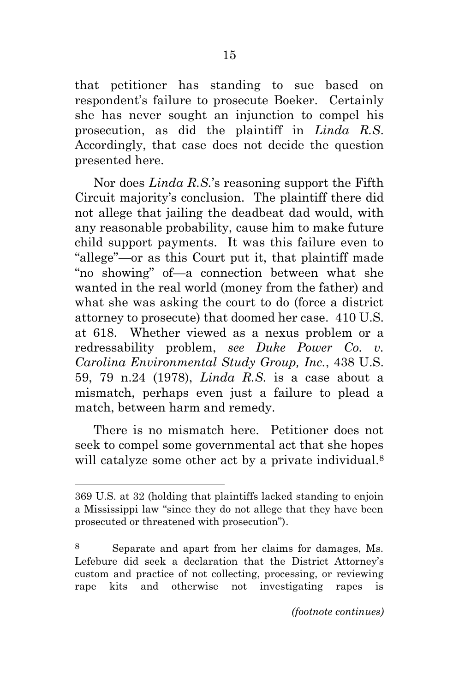that petitioner has standing to sue based on respondent's failure to prosecute Boeker. Certainly she has never sought an injunction to compel his prosecution, as did the plaintiff in *Linda R.S*. Accordingly, that case does not decide the question presented here.

Nor does *Linda R.S.*'s reasoning support the Fifth Circuit majority's conclusion. The plaintiff there did not allege that jailing the deadbeat dad would, with any reasonable probability, cause him to make future child support payments. It was this failure even to "allege"—or as this Court put it, that plaintiff made "no showing" of—a connection between what she wanted in the real world (money from the father) and what she was asking the court to do (force a district attorney to prosecute) that doomed her case. 410 U.S. at 618. Whether viewed as a nexus problem or a redressability problem, *see Duke Power Co. v. Carolina Environmental Study Group, Inc.*, 438 U.S. 59, 79 n.24 (1978), *Linda R.S.* is a case about a mismatch, perhaps even just a failure to plead a match, between harm and remedy.

There is no mismatch here. Petitioner does not seek to compel some governmental act that she hopes will catalyze some other act by a private individual.<sup>8</sup>

<sup>369</sup> U.S. at 32 (holding that plaintiffs lacked standing to enjoin a Mississippi law "since they do not allege that they have been prosecuted or threatened with prosecution").

Separate and apart from her claims for damages, Ms. Lefebure did seek a declaration that the District Attorney's custom and practice of not collecting, processing, or reviewing rape kits and otherwise not investigating rapes is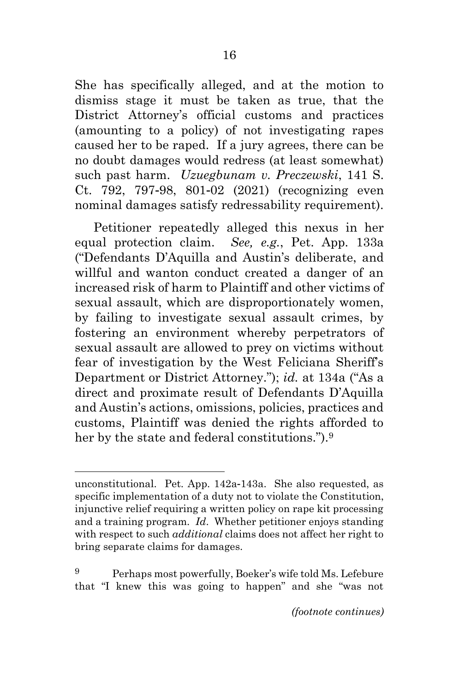She has specifically alleged, and at the motion to dismiss stage it must be taken as true, that the District Attorney's official customs and practices (amounting to a policy) of not investigating rapes caused her to be raped. If a jury agrees, there can be no doubt damages would redress (at least somewhat) such past harm. *Uzuegbunam v. Preczewski*, 141 S. Ct. 792, 797-98, 801-02 (2021) (recognizing even nominal damages satisfy redressability requirement).

Petitioner repeatedly alleged this nexus in her equal protection claim. *See, e.g.*, Pet. App. 133a ("Defendants D'Aquilla and Austin's deliberate, and willful and wanton conduct created a danger of an increased risk of harm to Plaintiff and other victims of sexual assault, which are disproportionately women, by failing to investigate sexual assault crimes, by fostering an environment whereby perpetrators of sexual assault are allowed to prey on victims without fear of investigation by the West Feliciana Sheriff's Department or District Attorney."); *id.* at 134a ("As a direct and proximate result of Defendants D'Aquilla and Austin's actions, omissions, policies, practices and customs, Plaintiff was denied the rights afforded to her by the state and federal constitutions.").<sup>9</sup>

unconstitutional. Pet. App. 142a-143a. She also requested, as specific implementation of a duty not to violate the Constitution, injunctive relief requiring a written policy on rape kit processing and a training program. *Id*. Whether petitioner enjoys standing with respect to such *additional* claims does not affect her right to bring separate claims for damages.

<sup>9</sup> Perhaps most powerfully, Boeker's wife told Ms. Lefebure that "I knew this was going to happen" and she "was not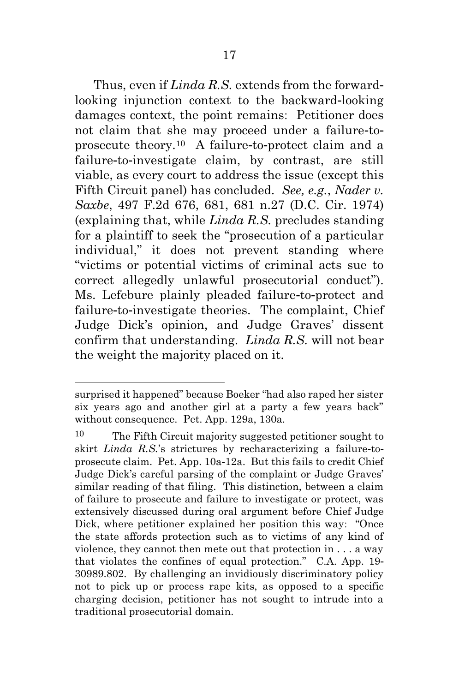Thus, even if *Linda R.S.* extends from the forwardlooking injunction context to the backward-looking damages context, the point remains: Petitioner does not claim that she may proceed under a failure-toprosecute theory.10 A failure-to-protect claim and a failure-to-investigate claim, by contrast, are still viable, as every court to address the issue (except this Fifth Circuit panel) has concluded. *See, e.g.*, *Nader v. Saxbe*, 497 F.2d 676, 681, 681 n.27 (D.C. Cir. 1974) (explaining that, while *Linda R.S.* precludes standing for a plaintiff to seek the "prosecution of a particular individual," it does not prevent standing where "victims or potential victims of criminal acts sue to correct allegedly unlawful prosecutorial conduct"). Ms. Lefebure plainly pleaded failure-to-protect and failure-to-investigate theories. The complaint, Chief Judge Dick's opinion, and Judge Graves' dissent confirm that understanding. *Linda R.S.* will not bear the weight the majority placed on it.

surprised it happened" because Boeker "had also raped her sister six years ago and another girl at a party a few years back" without consequence. Pet. App. 129a, 130a*.*

<sup>10</sup> The Fifth Circuit majority suggested petitioner sought to skirt *Linda R.S.*'s strictures by recharacterizing a failure-toprosecute claim. Pet. App. 10a-12a. But this fails to credit Chief Judge Dick's careful parsing of the complaint or Judge Graves' similar reading of that filing. This distinction, between a claim of failure to prosecute and failure to investigate or protect, was extensively discussed during oral argument before Chief Judge Dick, where petitioner explained her position this way: "Once the state affords protection such as to victims of any kind of violence, they cannot then mete out that protection in . . . a way that violates the confines of equal protection." C.A. App. 19- 30989.802. By challenging an invidiously discriminatory policy not to pick up or process rape kits, as opposed to a specific charging decision, petitioner has not sought to intrude into a traditional prosecutorial domain.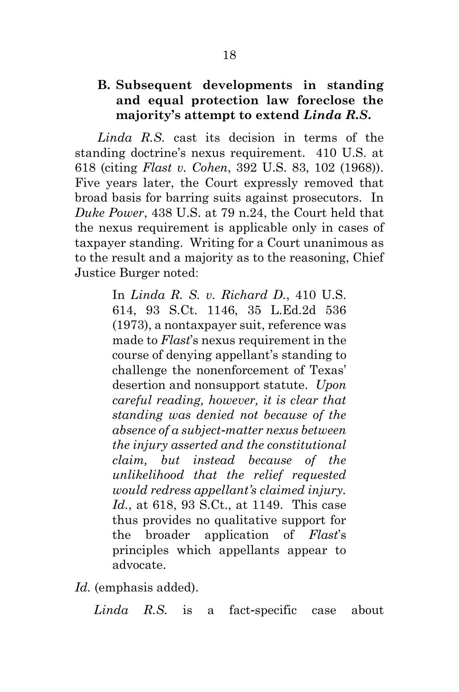## **B. Subsequent developments in standing and equal protection law foreclose the majority's attempt to extend** *Linda R.S***.**

*Linda R.S.* cast its decision in terms of the standing doctrine's nexus requirement. 410 U.S. at 618 (citing *Flast v. Cohen*, 392 U.S. 83, 102 (1968)). Five years later, the Court expressly removed that broad basis for barring suits against prosecutors. In *Duke Power*, 438 U.S. at 79 n.24, the Court held that the nexus requirement is applicable only in cases of taxpayer standing. Writing for a Court unanimous as to the result and a majority as to the reasoning, Chief Justice Burger noted:

> In *Linda R. S. v. Richard D.*, 410 U.S. 614, 93 S.Ct. 1146, 35 L.Ed.2d 536 (1973), a nontaxpayer suit, reference was made to *Flast*'s nexus requirement in the course of denying appellant's standing to challenge the nonenforcement of Texas' desertion and nonsupport statute. *Upon careful reading, however, it is clear that standing was denied not because of the absence of a subject-matter nexus between the injury asserted and the constitutional claim, but instead because of the unlikelihood that the relief requested would redress appellant's claimed injury. Id.*, at 618, 93 S.Ct., at 1149. This case thus provides no qualitative support for the broader application of *Flast*'s principles which appellants appear to advocate.

*Id.* (emphasis added).

*Linda R.S.* is a fact-specific case about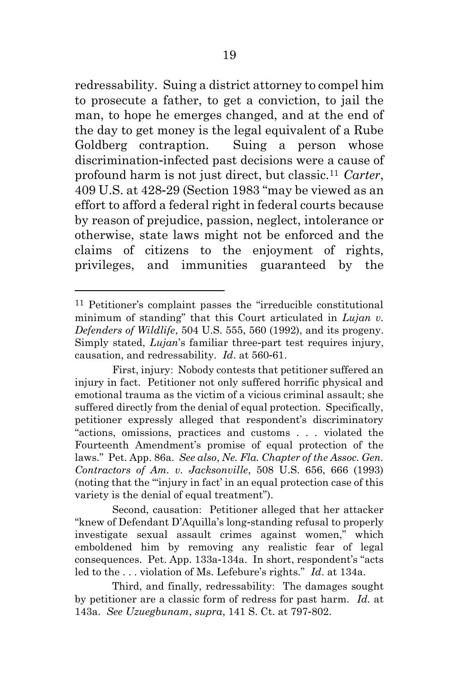redressability. Suing a district attorney to compel him to prosecute a father, to get a conviction, to jail the man, to hope he emerges changed, and at the end of the day to get money is the legal equivalent of a Rube Goldberg contraption. Suing a person whose discrimination-infected past decisions were a cause of profound harm is not just direct, but classic.<sup>11</sup> *Carter*, 409 U.S. at 428-29 (Section 1983 "may be viewed as an effort to afford a federal right in federal courts because by reason of prejudice, passion, neglect, intolerance or otherwise, state laws might not be enforced and the claims of citizens to the enjoyment of rights, privileges, and immunities guaranteed by the

Second, causation: Petitioner alleged that her attacker "knew of Defendant D'Aquilla's long-standing refusal to properly investigate sexual assault crimes against women," which emboldened him by removing any realistic fear of legal consequences. Pet. App. 133a-134a. In short, respondent's "acts led to the . . . violation of Ms. Lefebure's rights." *Id*. at 134a.

Third, and finally, redressability: The damages sought by petitioner are a classic form of redress for past harm. *Id.* at 143a. *See Uzuegbunam*, *supra*, 141 S. Ct. at 797-802.

<sup>11</sup> Petitioner's complaint passes the "irreducible constitutional minimum of standing" that this Court articulated in *Lujan v. Defenders of Wildlife*, 504 U.S. 555, 560 (1992), and its progeny. Simply stated, *Lujan*'s familiar three-part test requires injury, causation, and redressability. *Id*. at 560-61.

First, injury: Nobody contests that petitioner suffered an injury in fact. Petitioner not only suffered horrific physical and emotional trauma as the victim of a vicious criminal assault; she suffered directly from the denial of equal protection. Specifically, petitioner expressly alleged that respondent's discriminatory "actions, omissions, practices and customs . . . violated the Fourteenth Amendment's promise of equal protection of the laws." Pet. App. 86a. *See also*, *Ne. Fla. Chapter of the Assoc. Gen. Contractors of Am. v. Jacksonville*, 508 U.S. 656, 666 (1993) (noting that the "'injury in fact' in an equal protection case of this variety is the denial of equal treatment").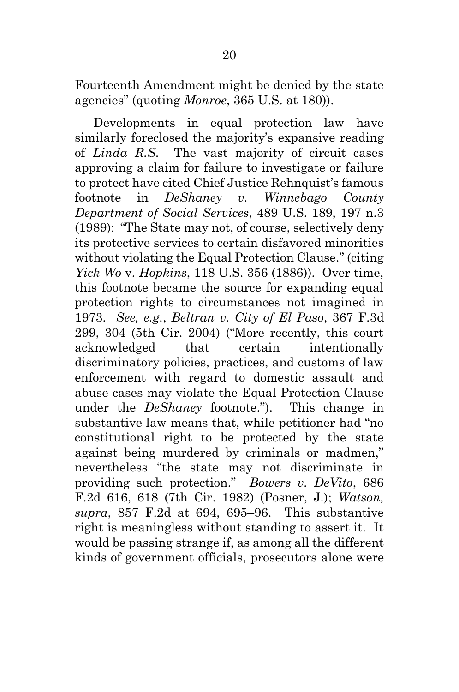Fourteenth Amendment might be denied by the state agencies" (quoting *Monroe*, 365 U.S. at 180)).

Developments in equal protection law have similarly foreclosed the majority's expansive reading of *Linda R.S.* The vast majority of circuit cases approving a claim for failure to investigate or failure to protect have cited Chief Justice Rehnquist's famous footnote in *DeShaney v. Winnebago County Department of Social Services*, 489 U.S. 189, 197 n.3 (1989): "The State may not, of course, selectively deny its protective services to certain disfavored minorities without violating the Equal Protection Clause." (citing *Yick Wo* v. *Hopkins*, 118 U.S. 356 (1886)). Over time, this footnote became the source for expanding equal protection rights to circumstances not imagined in 1973. *See, e.g.*, *Beltran v. City of El Paso*, 367 F.3d 299, 304 (5th Cir. 2004) ("More recently, this court acknowledged that certain intentionally discriminatory policies, practices, and customs of law enforcement with regard to domestic assault and abuse cases may violate the Equal Protection Clause under the *DeShaney* footnote."). This change in substantive law means that, while petitioner had "no constitutional right to be protected by the state against being murdered by criminals or madmen," nevertheless "the state may not discriminate in providing such protection." *Bowers v. DeVito*, 686 F.2d 616, 618 (7th Cir. 1982) (Posner, J.); *Watson, supra*, 857 F.2d at 694, 695–96. This substantive right is meaningless without standing to assert it. It would be passing strange if, as among all the different kinds of government officials, prosecutors alone were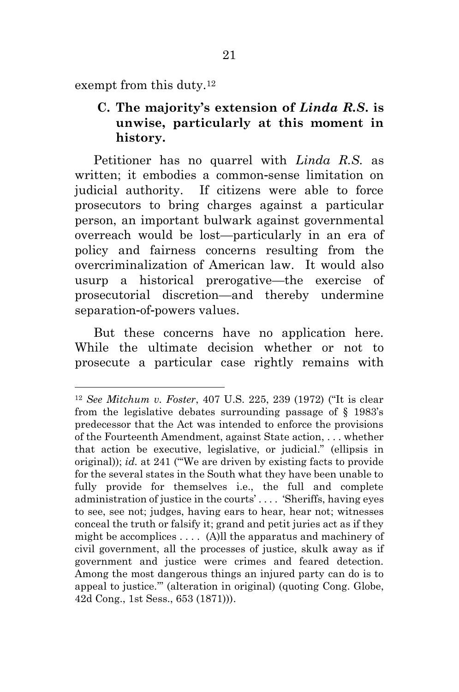exempt from this duty.<sup>12</sup>

## **C. The majority's extension of** *Linda R.S***. is unwise, particularly at this moment in history.**

Petitioner has no quarrel with *Linda R.S.* as written; it embodies a common-sense limitation on judicial authority. If citizens were able to force prosecutors to bring charges against a particular person, an important bulwark against governmental overreach would be lost—particularly in an era of policy and fairness concerns resulting from the overcriminalization of American law. It would also usurp a historical prerogative—the exercise of prosecutorial discretion—and thereby undermine separation-of-powers values.

But these concerns have no application here. While the ultimate decision whether or not to prosecute a particular case rightly remains with

<sup>12</sup> *See Mitchum v. Foster*, 407 U.S. 225, 239 (1972) ("It is clear from the legislative debates surrounding passage of § 1983's predecessor that the Act was intended to enforce the provisions of the Fourteenth Amendment, against State action, . . . whether that action be executive, legislative, or judicial." (ellipsis in original)); *id.* at 241 ("'We are driven by existing facts to provide for the several states in the South what they have been unable to fully provide for themselves i.e., the full and complete administration of justice in the courts' . . . . 'Sheriffs, having eyes to see, see not; judges, having ears to hear, hear not; witnesses conceal the truth or falsify it; grand and petit juries act as if they might be accomplices  $\dots$  (A)ll the apparatus and machinery of civil government, all the processes of justice, skulk away as if government and justice were crimes and feared detection. Among the most dangerous things an injured party can do is to appeal to justice.'" (alteration in original) (quoting Cong. Globe, 42d Cong., 1st Sess., 653 (1871))).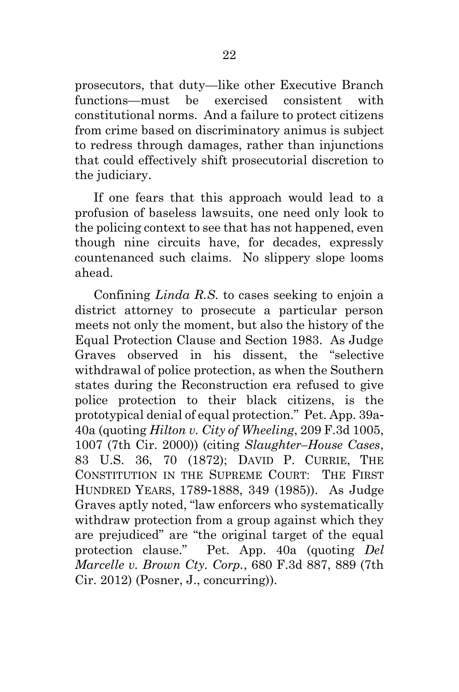prosecutors, that duty—like other Executive Branch functions—must be exercised consistent with constitutional norms. And a failure to protect citizens from crime based on discriminatory animus is subject to redress through damages, rather than injunctions that could effectively shift prosecutorial discretion to the judiciary.

If one fears that this approach would lead to a profusion of baseless lawsuits, one need only look to the policing context to see that has not happened, even though nine circuits have, for decades, expressly countenanced such claims. No slippery slope looms ahead.

Confining *Linda R.S.* to cases seeking to enjoin a district attorney to prosecute a particular person meets not only the moment, but also the history of the Equal Protection Clause and Section 1983. As Judge Graves observed in his dissent, the "selective withdrawal of police protection, as when the Southern states during the Reconstruction era refused to give police protection to their black citizens, is the prototypical denial of equal protection." Pet. App. 39a-40a (quoting *Hilton v. City of Wheeling*, 209 F.3d 1005, 1007 (7th Cir. 2000)) (citing *Slaughter–House Cases*, 83 U.S. 36, 70 (1872); DAVID P. CURRIE, THE CONSTITUTION IN THE SUPREME COURT: THE FIRST HUNDRED YEARS, 1789-1888, 349 (1985)). As Judge Graves aptly noted, "law enforcers who systematically withdraw protection from a group against which they are prejudiced" are "the original target of the equal protection clause." Pet. App. 40a (quoting *Del Marcelle v. Brown Cty. Corp.*, 680 F.3d 887, 889 (7th Cir. 2012) (Posner, J., concurring)).